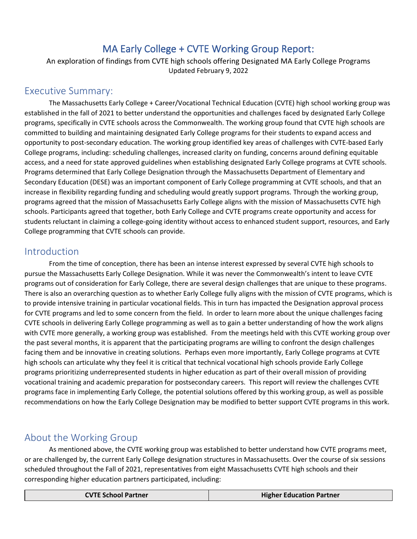# MA Early College + CVTE Working Group Report:

An exploration of findings from CVTE high schools offering Designated MA Early College Programs Updated February 9, 2022

### Executive Summary:

The Massachusetts Early College + Career/Vocational Technical Education (CVTE) high school working group was established in the fall of 2021 to better understand the opportunities and challenges faced by designated Early College programs, specifically in CVTE schools across the Commonwealth. The working group found that CVTE high schools are committed to building and maintaining designated Early College programs for their students to expand access and opportunity to post-secondary education. The working group identified key areas of challenges with CVTE-based Early College programs, including: scheduling challenges, increased clarity on funding, concerns around defining equitable access, and a need for state approved guidelines when establishing designated Early College programs at CVTE schools. Programs determined that Early College Designation through the Massachusetts Department of Elementary and Secondary Education (DESE) was an important component of Early College programming at CVTE schools, and that an increase in flexibility regarding funding and scheduling would greatly support programs. Through the working group, programs agreed that the mission of Massachusetts Early College aligns with the mission of Massachusetts CVTE high schools. Participants agreed that together, both Early College and CVTE programs create opportunity and access for students reluctant in claiming a college-going identity without access to enhanced student support, resources, and Early College programming that CVTE schools can provide.

### Introduction

From the time of conception, there has been an intense interest expressed by several CVTE high schools to pursue the Massachusetts Early College Designation. While it was never the Commonwealth's intent to leave CVTE programs out of consideration for Early College, there are several design challenges that are unique to these programs. There is also an overarching question as to whether Early College fully aligns with the mission of CVTE programs, which is to provide intensive training in particular vocational fields. This in turn has impacted the Designation approval process for CVTE programs and led to some concern from the field. In order to learn more about the unique challenges facing CVTE schools in delivering Early College programming as well as to gain a better understanding of how the work aligns with CVTE more generally, a working group was established. From the meetings held with this CVTE working group over the past several months, it is apparent that the participating programs are willing to confront the design challenges facing them and be innovative in creating solutions. Perhaps even more importantly, Early College programs at CVTE high schools can articulate why they feel it is critical that technical vocational high schools provide Early College programs prioritizing underrepresented students in higher education as part of their overall mission of providing vocational training and academic preparation for postsecondary careers. This report will review the challenges CVTE programs face in implementing Early College, the potential solutions offered by this working group, as well as possible recommendations on how the Early College Designation may be modified to better support CVTE programs in this work.

# About the Working Group

As mentioned above, the CVTE working group was established to better understand how CVTE programs meet, or are challenged by, the current Early College designation structures in Massachusetts. Over the course of six sessions scheduled throughout the Fall of 2021, representatives from eight Massachusetts CVTE high schools and their corresponding higher education partners participated, including:

| <b>CVTE School Partner</b><br><b>Higher Education Partner</b> |
|---------------------------------------------------------------|
|---------------------------------------------------------------|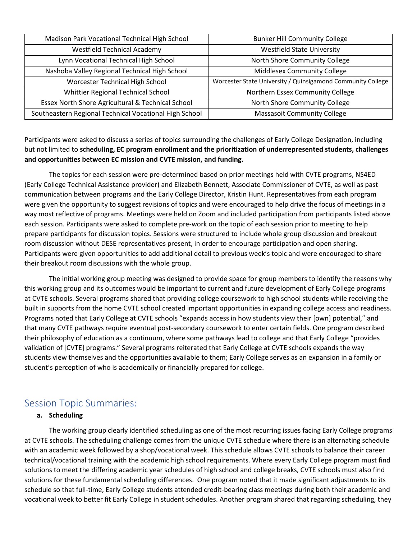| Madison Park Vocational Technical High School          | <b>Bunker Hill Community College</b>                        |
|--------------------------------------------------------|-------------------------------------------------------------|
| <b>Westfield Technical Academy</b>                     | <b>Westfield State University</b>                           |
| Lynn Vocational Technical High School                  | North Shore Community College                               |
| Nashoba Valley Regional Technical High School          | <b>Middlesex Community College</b>                          |
| Worcester Technical High School                        | Worcester State University / Quinsigamond Community College |
| Whittier Regional Technical School                     | Northern Essex Community College                            |
| Essex North Shore Agricultural & Technical School      | North Shore Community College                               |
| Southeastern Regional Technical Vocational High School | <b>Massasoit Community College</b>                          |

Participants were asked to discuss a series of topics surrounding the challenges of Early College Designation, including but not limited to **scheduling, EC program enrollment and the prioritization of underrepresented students, challenges and opportunities between EC mission and CVTE mission, and funding.**

The topics for each session were pre-determined based on prior meetings held with CVTE programs, NS4ED (Early College Technical Assistance provider) and Elizabeth Bennett, Associate Commissioner of CVTE, as well as past communication between programs and the Early College Director, Kristin Hunt. Representatives from each program were given the opportunity to suggest revisions of topics and were encouraged to help drive the focus of meetings in a way most reflective of programs. Meetings were held on Zoom and included participation from participants listed above each session. Participants were asked to complete pre-work on the topic of each session prior to meeting to help prepare participants for discussion topics. Sessions were structured to include whole group discussion and breakout room discussion without DESE representatives present, in order to encourage participation and open sharing. Participants were given opportunities to add additional detail to previous week's topic and were encouraged to share their breakout room discussions with the whole group.

The initial working group meeting was designed to provide space for group members to identify the reasons why this working group and its outcomes would be important to current and future development of Early College programs at CVTE schools. Several programs shared that providing college coursework to high school students while receiving the built in supports from the home CVTE school created important opportunities in expanding college access and readiness. Programs noted that Early College at CVTE schools "expands access in how students view their [own] potential," and that many CVTE pathways require eventual post-secondary coursework to enter certain fields. One program described their philosophy of education as a continuum, where some pathways lead to college and that Early College "provides validation of [CVTE] programs." Several programs reiterated that Early College at CVTE schools expands the way students view themselves and the opportunities available to them; Early College serves as an expansion in a family or student's perception of who is academically or financially prepared for college.

### Session Topic Summaries:

#### **a. Scheduling**

The working group clearly identified scheduling as one of the most recurring issues facing Early College programs at CVTE schools. The scheduling challenge comes from the unique CVTE schedule where there is an alternating schedule with an academic week followed by a shop/vocational week. This schedule allows CVTE schools to balance their career technical/vocational training with the academic high school requirements. Where every Early College program must find solutions to meet the differing academic year schedules of high school and college breaks, CVTE schools must also find solutions for these fundamental scheduling differences. One program noted that it made significant adjustments to its schedule so that full-time, Early College students attended credit-bearing class meetings during both their academic and vocational week to better fit Early College in student schedules. Another program shared that regarding scheduling, they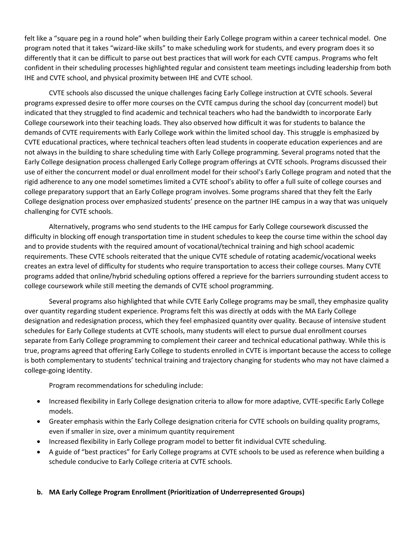felt like a "square peg in a round hole" when building their Early College program within a career technical model. One program noted that it takes "wizard-like skills" to make scheduling work for students, and every program does it so differently that it can be difficult to parse out best practices that will work for each CVTE campus. Programs who felt confident in their scheduling processes highlighted regular and consistent team meetings including leadership from both IHE and CVTE school, and physical proximity between IHE and CVTE school.

CVTE schools also discussed the unique challenges facing Early College instruction at CVTE schools. Several programs expressed desire to offer more courses on the CVTE campus during the school day (concurrent model) but indicated that they struggled to find academic and technical teachers who had the bandwidth to incorporate Early College coursework into their teaching loads. They also observed how difficult it was for students to balance the demands of CVTE requirements with Early College work within the limited school day. This struggle is emphasized by CVTE educational practices, where technical teachers often lead students in cooperate education experiences and are not always in the building to share scheduling time with Early College programming. Several programs noted that the Early College designation process challenged Early College program offerings at CVTE schools. Programs discussed their use of either the concurrent model or dual enrollment model for their school's Early College program and noted that the rigid adherence to any one model sometimes limited a CVTE school's ability to offer a full suite of college courses and college preparatory support that an Early College program involves. Some programs shared that they felt the Early College designation process over emphasized students' presence on the partner IHE campus in a way that was uniquely challenging for CVTE schools.

Alternatively, programs who send students to the IHE campus for Early College coursework discussed the difficulty in blocking off enough transportation time in student schedules to keep the course time within the school day and to provide students with the required amount of vocational/technical training and high school academic requirements. These CVTE schools reiterated that the unique CVTE schedule of rotating academic/vocational weeks creates an extra level of difficulty for students who require transportation to access their college courses. Many CVTE programs added that online/hybrid scheduling options offered a reprieve for the barriers surrounding student access to college coursework while still meeting the demands of CVTE school programming.

Several programs also highlighted that while CVTE Early College programs may be small, they emphasize quality over quantity regarding student experience. Programs felt this was directly at odds with the MA Early College designation and redesignation process, which they feel emphasized quantity over quality. Because of intensive student schedules for Early College students at CVTE schools, many students will elect to pursue dual enrollment courses separate from Early College programming to complement their career and technical educational pathway. While this is true, programs agreed that offering Early College to students enrolled in CVTE is important because the access to college is both complementary to students' technical training and trajectory changing for students who may not have claimed a college-going identity.

Program recommendations for scheduling include:

- Increased flexibility in Early College designation criteria to allow for more adaptive, CVTE-specific Early College models.
- Greater emphasis within the Early College designation criteria for CVTE schools on building quality programs, even if smaller in size, over a minimum quantity requirement
- Increased flexibility in Early College program model to better fit individual CVTE scheduling.
- A guide of "best practices" for Early College programs at CVTE schools to be used as reference when building a schedule conducive to Early College criteria at CVTE schools.

#### **b. MA Early College Program Enrollment (Prioritization of Underrepresented Groups)**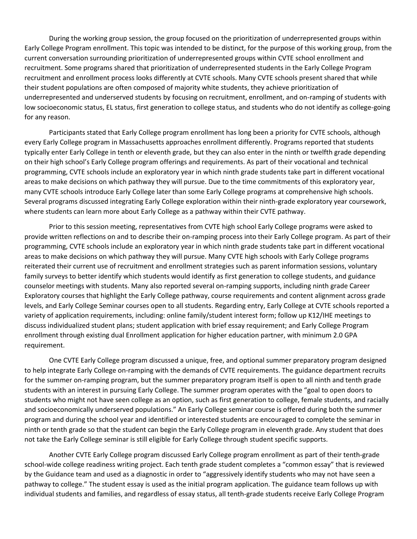During the working group session, the group focused on the prioritization of underrepresented groups within Early College Program enrollment. This topic was intended to be distinct, for the purpose of this working group, from the current conversation surrounding prioritization of underrepresented groups within CVTE school enrollment and recruitment. Some programs shared that prioritization of underrepresented students in the Early College Program recruitment and enrollment process looks differently at CVTE schools. Many CVTE schools present shared that while their student populations are often composed of majority white students, they achieve prioritization of underrepresented and underserved students by focusing on recruitment, enrollment, and on-ramping of students with low socioeconomic status, EL status, first generation to college status, and students who do not identify as college-going for any reason.

Participants stated that Early College program enrollment has long been a priority for CVTE schools, although every Early College program in Massachusetts approaches enrollment differently. Programs reported that students typically enter Early College in tenth or eleventh grade, but they can also enter in the ninth or twelfth grade depending on their high school's Early College program offerings and requirements. As part of their vocational and technical programming, CVTE schools include an exploratory year in which ninth grade students take part in different vocational areas to make decisions on which pathway they will pursue. Due to the time commitments of this exploratory year, many CVTE schools introduce Early College later than some Early College programs at comprehensive high schools. Several programs discussed integrating Early College exploration within their ninth-grade exploratory year coursework, where students can learn more about Early College as a pathway within their CVTE pathway.

Prior to this session meeting, representatives from CVTE high school Early College programs were asked to provide written reflections on and to describe their on-ramping process into their Early College program. As part of their programming, CVTE schools include an exploratory year in which ninth grade students take part in different vocational areas to make decisions on which pathway they will pursue. Many CVTE high schools with Early College programs reiterated their current use of recruitment and enrollment strategies such as parent information sessions, voluntary family surveys to better identify which students would identify as first generation to college students, and guidance counselor meetings with students. Many also reported several on-ramping supports, including ninth grade Career Exploratory courses that highlight the Early College pathway, course requirements and content alignment across grade levels, and Early College Seminar courses open to all students. Regarding entry, Early College at CVTE schools reported a variety of application requirements, including: online family/student interest form; follow up K12/IHE meetings to discuss individualized student plans; student application with brief essay requirement; and Early College Program enrollment through existing dual Enrollment application for higher education partner, with minimum 2.0 GPA requirement.

One CVTE Early College program discussed a unique, free, and optional summer preparatory program designed to help integrate Early College on-ramping with the demands of CVTE requirements. The guidance department recruits for the summer on-ramping program, but the summer preparatory program itself is open to all ninth and tenth grade students with an interest in pursuing Early College. The summer program operates with the "goal to open doors to students who might not have seen college as an option, such as first generation to college, female students, and racially and socioeconomically underserved populations." An Early College seminar course is offered during both the summer program and during the school year and identified or interested students are encouraged to complete the seminar in ninth or tenth grade so that the student can begin the Early College program in eleventh grade. Any student that does not take the Early College seminar is still eligible for Early College through student specific supports.

Another CVTE Early College program discussed Early College program enrollment as part of their tenth-grade school-wide college readiness writing project. Each tenth grade student completes a "common essay" that is reviewed by the Guidance team and used as a diagnostic in order to "aggressively identify students who may not have seen a pathway to college." The student essay is used as the initial program application. The guidance team follows up with individual students and families, and regardless of essay status, all tenth-grade students receive Early College Program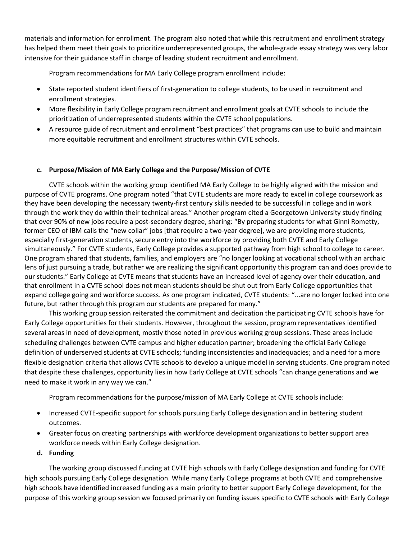materials and information for enrollment. The program also noted that while this recruitment and enrollment strategy has helped them meet their goals to prioritize underrepresented groups, the whole-grade essay strategy was very labor intensive for their guidance staff in charge of leading student recruitment and enrollment.

Program recommendations for MA Early College program enrollment include:

- State reported student identifiers of first-generation to college students, to be used in recruitment and enrollment strategies.
- More flexibility in Early College program recruitment and enrollment goals at CVTE schools to include the prioritization of underrepresented students within the CVTE school populations.
- A resource guide of recruitment and enrollment "best practices" that programs can use to build and maintain more equitable recruitment and enrollment structures within CVTE schools.

#### **c. Purpose/Mission of MA Early College and the Purpose/Mission of CVTE**

CVTE schools within the working group identified MA Early College to be highly aligned with the mission and purpose of CVTE programs. One program noted "that CVTE students are more ready to excel in college coursework as they have been developing the necessary twenty-first century skills needed to be successful in college and in work through the work they do within their technical areas." Another program cited a Georgetown University study finding that over 90% of new jobs require a post-secondary degree, sharing: "By preparing students for what Ginni Rometty, former CEO of IBM calls the "new collar" jobs [that require a two-year degree], we are providing more students, especially first-generation students, secure entry into the workforce by providing both CVTE and Early College simultaneously." For CVTE students, Early College provides a supported pathway from high school to college to career. One program shared that students, families, and employers are "no longer looking at vocational school with an archaic lens of just pursuing a trade, but rather we are realizing the significant opportunity this program can and does provide to our students." Early College at CVTE means that students have an increased level of agency over their education, and that enrollment in a CVTE school does not mean students should be shut out from Early College opportunities that expand college going and workforce success. As one program indicated, CVTE students: "...are no longer locked into one future, but rather through this program our students are prepared for many."

This working group session reiterated the commitment and dedication the participating CVTE schools have for Early College opportunities for their students. However, throughout the session, program representatives identified several areas in need of development, mostly those noted in previous working group sessions. These areas include scheduling challenges between CVTE campus and higher education partner; broadening the official Early College definition of underserved students at CVTE schools; funding inconsistencies and inadequacies; and a need for a more flexible designation criteria that allows CVTE schools to develop a unique model in serving students. One program noted that despite these challenges, opportunity lies in how Early College at CVTE schools "can change generations and we need to make it work in any way we can."

Program recommendations for the purpose/mission of MA Early College at CVTE schools include:

- Increased CVTE-specific support for schools pursuing Early College designation and in bettering student outcomes.
- Greater focus on creating partnerships with workforce development organizations to better support area workforce needs within Early College designation.
- **d. Funding**

The working group discussed funding at CVTE high schools with Early College designation and funding for CVTE high schools pursuing Early College designation. While many Early College programs at both CVTE and comprehensive high schools have identified increased funding as a main priority to better support Early College development, for the purpose of this working group session we focused primarily on funding issues specific to CVTE schools with Early College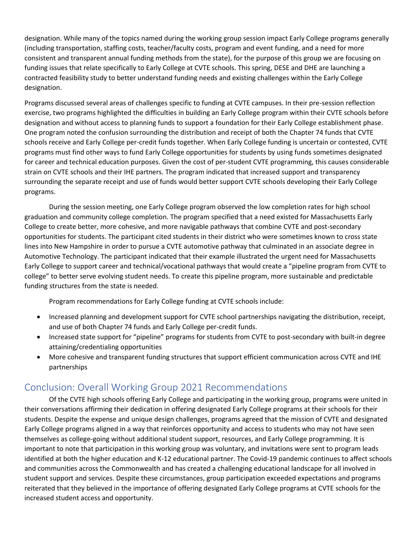designation. While many of the topics named during the working group session impact Early College programs generally (including transportation, staffing costs, teacher/faculty costs, program and event funding, and a need for more consistent and transparent annual funding methods from the state), for the purpose of this group we are focusing on funding issues that relate specifically to Early College at CVTE schools. This spring, DESE and DHE are launching a contracted feasibility study to better understand funding needs and existing challenges within the Early College designation.

Programs discussed several areas of challenges specific to funding at CVTE campuses. In their pre-session reflection exercise, two programs highlighted the difficulties in building an Early College program within their CVTE schools before designation and without access to planning funds to support a foundation for their Early College establishment phase. One program noted the confusion surrounding the distribution and receipt of both the Chapter 74 funds that CVTE schools receive and Early College per-credit funds together. When Early College funding is uncertain or contested, CVTE programs must find other ways to fund Early College opportunities for students by using funds sometimes designated for career and technical education purposes. Given the cost of per-student CVTE programming, this causes considerable strain on CVTE schools and their IHE partners. The program indicated that increased support and transparency surrounding the separate receipt and use of funds would better support CVTE schools developing their Early College programs.

During the session meeting, one Early College program observed the low completion rates for high school graduation and community college completion. The program specified that a need existed for Massachusetts Early College to create better, more cohesive, and more navigable pathways that combine CVTE and post-secondary opportunities for students. The participant cited students in their district who were sometimes known to cross state lines into New Hampshire in order to pursue a CVTE automotive pathway that culminated in an associate degree in Automotive Technology. The participant indicated that their example illustrated the urgent need for Massachusetts Early College to support career and technical/vocational pathways that would create a "pipeline program from CVTE to college" to better serve evolving student needs. To create this pipeline program, more sustainable and predictable funding structures from the state is needed.

Program recommendations for Early College funding at CVTE schools include:

- Increased planning and development support for CVTE school partnerships navigating the distribution, receipt, and use of both Chapter 74 funds and Early College per-credit funds.
- Increased state support for "pipeline" programs for students from CVTE to post-secondary with built-in degree attaining/credentialing opportunities
- More cohesive and transparent funding structures that support efficient communication across CVTE and IHE partnerships

# Conclusion: Overall Working Group 2021 Recommendations

Of the CVTE high schools offering Early College and participating in the working group, programs were united in their conversations affirming their dedication in offering designated Early College programs at their schools for their students. Despite the expense and unique design challenges, programs agreed that the mission of CVTE and designated Early College programs aligned in a way that reinforces opportunity and access to students who may not have seen themselves as college-going without additional student support, resources, and Early College programming. It is important to note that participation in this working group was voluntary, and invitations were sent to program leads identified at both the higher education and K-12 educational partner. The Covid-19 pandemic continues to affect schools and communities across the Commonwealth and has created a challenging educational landscape for all involved in student support and services. Despite these circumstances, group participation exceeded expectations and programs reiterated that they believed in the importance of offering designated Early College programs at CVTE schools for the increased student access and opportunity.